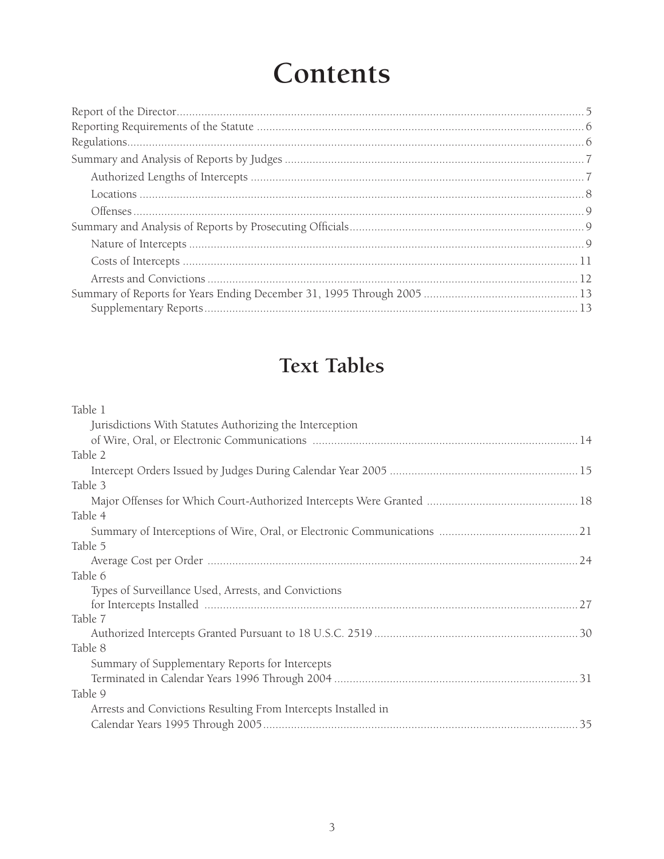# **Contents**

# **Text Tables**

## Table 1

| Jurisdictions With Statutes Authorizing the Interception       |  |
|----------------------------------------------------------------|--|
|                                                                |  |
| Table 2                                                        |  |
|                                                                |  |
| Table 3                                                        |  |
|                                                                |  |
| Table 4                                                        |  |
|                                                                |  |
| Table 5                                                        |  |
|                                                                |  |
| Table 6                                                        |  |
|                                                                |  |
| Types of Surveillance Used, Arrests, and Convictions           |  |
|                                                                |  |
| Table 7                                                        |  |
|                                                                |  |
| Table 8                                                        |  |
| Summary of Supplementary Reports for Intercepts                |  |
|                                                                |  |
| Table 9                                                        |  |
| Arrests and Convictions Resulting From Intercepts Installed in |  |
|                                                                |  |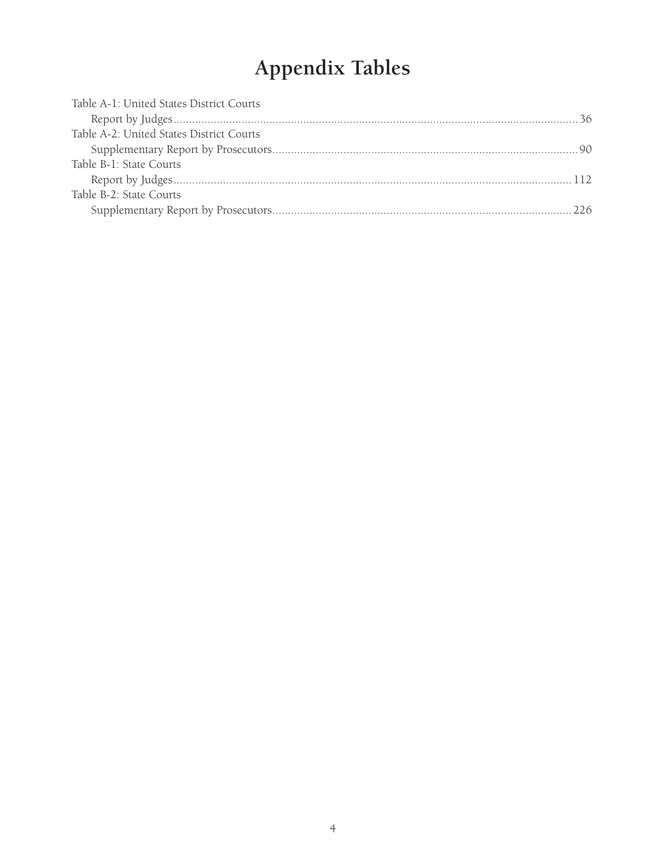# **Appendix Tables**

| Table A-1: United States District Courts |  |
|------------------------------------------|--|
|                                          |  |
| Table A-2: United States District Courts |  |
|                                          |  |
| Table B-1: State Courts                  |  |
|                                          |  |
| Table B-2: State Courts                  |  |
|                                          |  |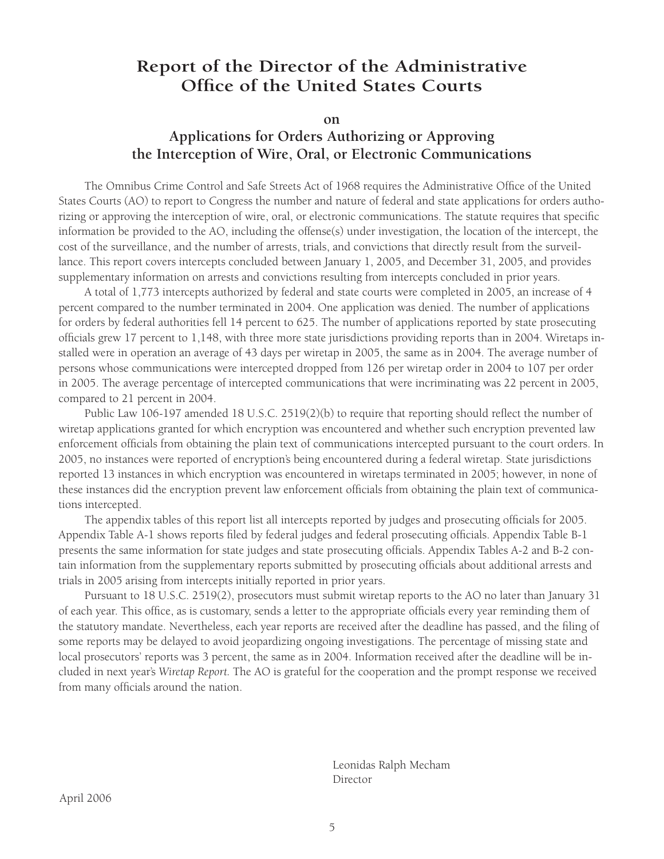# **Report of the Director of the Administrative Office of the United States Courts**

**on**

# **Applications for Orders Authorizing or Approving the Interception of Wire, Oral, or Electronic Communications**

The Omnibus Crime Control and Safe Streets Act of 1968 requires the Administrative Office of the United States Courts (AO) to report to Congress the number and nature of federal and state applications for orders authorizing or approving the interception of wire, oral, or electronic communications. The statute requires that specific information be provided to the AO, including the offense(s) under investigation, the location of the intercept, the cost of the surveillance, and the number of arrests, trials, and convictions that directly result from the surveillance. This report covers intercepts concluded between January 1, 2005, and December 31, 2005, and provides supplementary information on arrests and convictions resulting from intercepts concluded in prior years.

A total of 1,773 intercepts authorized by federal and state courts were completed in 2005, an increase of 4 percent compared to the number terminated in 2004. One application was denied. The number of applications for orders by federal authorities fell 14 percent to 625. The number of applications reported by state prosecuting officials grew 17 percent to 1,148, with three more state jurisdictions providing reports than in 2004. Wiretaps installed were in operation an average of 43 days per wiretap in 2005, the same as in 2004. The average number of persons whose communications were intercepted dropped from 126 per wiretap order in 2004 to 107 per order in 2005. The average percentage of intercepted communications that were incriminating was 22 percent in 2005, compared to 21 percent in 2004.

Public Law 106-197 amended 18 U.S.C. 2519(2)(b) to require that reporting should reflect the number of wiretap applications granted for which encryption was encountered and whether such encryption prevented law enforcement officials from obtaining the plain text of communications intercepted pursuant to the court orders. In 2005, no instances were reported of encryption's being encountered during a federal wiretap. State jurisdictions reported 13 instances in which encryption was encountered in wiretaps terminated in 2005; however, in none of these instances did the encryption prevent law enforcement officials from obtaining the plain text of communications intercepted.

The appendix tables of this report list all intercepts reported by judges and prosecuting officials for 2005. Appendix Table A-1 shows reports filed by federal judges and federal prosecuting officials. Appendix Table B-1 presents the same information for state judges and state prosecuting officials. Appendix Tables A-2 and B-2 contain information from the supplementary reports submitted by prosecuting officials about additional arrests and trials in 2005 arising from intercepts initially reported in prior years.

Pursuant to 18 U.S.C. 2519(2), prosecutors must submit wiretap reports to the AO no later than January 31 of each year. This office, as is customary, sends a letter to the appropriate officials every year reminding them of the statutory mandate. Nevertheless, each year reports are received after the deadline has passed, and the filing of some reports may be delayed to avoid jeopardizing ongoing investigations. The percentage of missing state and local prosecutors' reports was 3 percent, the same as in 2004. Information received after the deadline will be included in next year's *Wiretap Report.* The AO is grateful for the cooperation and the prompt response we received from many officials around the nation.

 Leonidas Ralph Mecham **Director**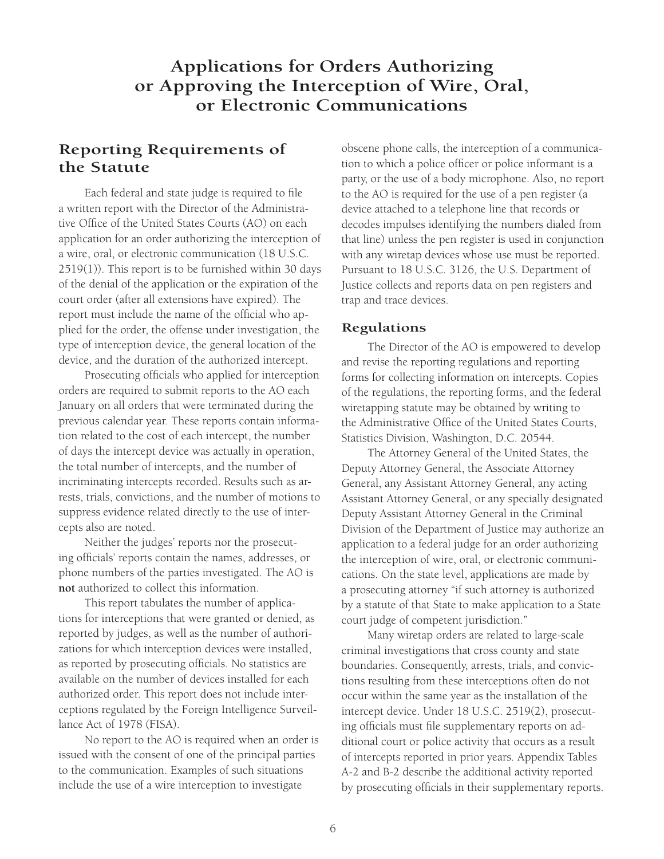# **Applications for Orders Authorizing or Approving the Interception of Wire, Oral, or Electronic Communications**

## **Reporting Requirements of the Statute**

Each federal and state judge is required to file a written report with the Director of the Administrative Office of the United States Courts (AO) on each application for an order authorizing the interception of a wire, oral, or electronic communication (18 U.S.C. 2519(1)). This report is to be furnished within 30 days of the denial of the application or the expiration of the court order (after all extensions have expired). The report must include the name of the official who applied for the order, the offense under investigation, the type of interception device, the general location of the device, and the duration of the authorized intercept.

Prosecuting officials who applied for interception orders are required to submit reports to the AO each January on all orders that were terminated during the previous calendar year. These reports contain information related to the cost of each intercept, the number of days the intercept device was actually in operation, the total number of intercepts, and the number of incriminating intercepts recorded. Results such as arrests, trials, convictions, and the number of motions to suppress evidence related directly to the use of intercepts also are noted.

Neither the judges' reports nor the prosecuting officials' reports contain the names, addresses, or phone numbers of the parties investigated. The AO is **not** authorized to collect this information.

This report tabulates the number of applications for interceptions that were granted or denied, as reported by judges, as well as the number of authorizations for which interception devices were installed, as reported by prosecuting officials. No statistics are available on the number of devices installed for each authorized order. This report does not include interceptions regulated by the Foreign Intelligence Surveillance Act of 1978 (FISA).

No report to the AO is required when an order is issued with the consent of one of the principal parties to the communication. Examples of such situations include the use of a wire interception to investigate

obscene phone calls, the interception of a communication to which a police officer or police informant is a party, or the use of a body microphone. Also, no report to the AO is required for the use of a pen register (a device attached to a telephone line that records or decodes impulses identifying the numbers dialed from that line) unless the pen register is used in conjunction with any wiretap devices whose use must be reported. Pursuant to 18 U.S.C. 3126, the U.S. Department of Justice collects and reports data on pen registers and trap and trace devices.

#### **Regulations**

The Director of the AO is empowered to develop and revise the reporting regulations and reporting forms for collecting information on intercepts. Copies of the regulations, the reporting forms, and the federal wiretapping statute may be obtained by writing to the Administrative Office of the United States Courts, Statistics Division, Washington, D.C. 20544.

The Attorney General of the United States, the Deputy Attorney General, the Associate Attorney General, any Assistant Attorney General, any acting Assistant Attorney General, or any specially designated Deputy Assistant Attorney General in the Criminal Division of the Department of Justice may authorize an application to a federal judge for an order authorizing the interception of wire, oral, or electronic communications. On the state level, applications are made by a prosecuting attorney "if such attorney is authorized by a statute of that State to make application to a State court judge of competent jurisdiction."

Many wiretap orders are related to large-scale criminal investigations that cross county and state boundaries. Consequently, arrests, trials, and convictions resulting from these interceptions often do not occur within the same year as the installation of the intercept device. Under 18 U.S.C. 2519(2), prosecuting officials must file supplementary reports on additional court or police activity that occurs as a result of intercepts reported in prior years. Appendix Tables A-2 and B-2 describe the additional activity reported by prosecuting officials in their supplementary reports.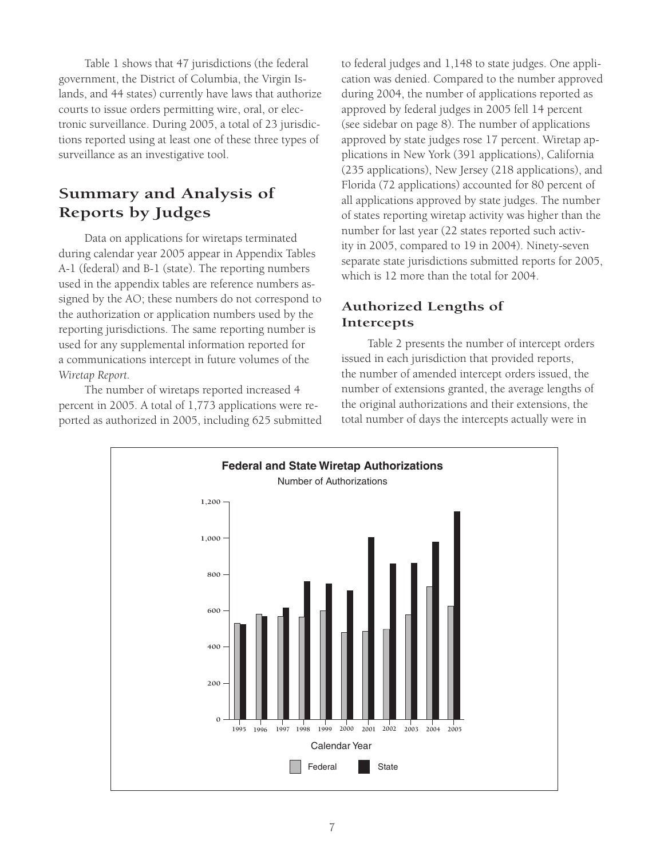Table 1 shows that 47 jurisdictions (the federal government, the District of Columbia, the Virgin Islands, and 44 states) currently have laws that authorize courts to issue orders permitting wire, oral, or electronic surveillance. During 2005, a total of 23 jurisdictions reported using at least one of these three types of surveillance as an investigative tool.

## **Summary and Analysis of Reports by Judges**

Data on applications for wiretaps terminated during calendar year 2005 appear in Appendix Tables A-1 (federal) and B-1 (state). The reporting numbers used in the appendix tables are reference numbers assigned by the AO; these numbers do not correspond to the authorization or application numbers used by the reporting jurisdictions. The same reporting number is used for any supplemental information reported for a communications intercept in future volumes of the *Wiretap Report.*

The number of wiretaps reported increased 4 percent in 2005. A total of 1,773 applications were reported as authorized in 2005, including 625 submitted to federal judges and 1,148 to state judges. One application was denied. Compared to the number approved during 2004, the number of applications reported as approved by federal judges in 2005 fell 14 percent (see sidebar on page 8). The number of applications approved by state judges rose 17 percent. Wiretap applications in New York (391 applications), California (235 applications), New Jersey (218 applications), and Florida (72 applications) accounted for 80 percent of all applications approved by state judges. The number of states reporting wiretap activity was higher than the number for last year (22 states reported such activity in 2005, compared to 19 in 2004). Ninety-seven separate state jurisdictions submitted reports for 2005, which is 12 more than the total for 2004.

## **Authorized Lengths of Intercepts**

Table 2 presents the number of intercept orders issued in each jurisdiction that provided reports, the number of amended intercept orders issued, the number of extensions granted, the average lengths of the original authorizations and their extensions, the total number of days the intercepts actually were in

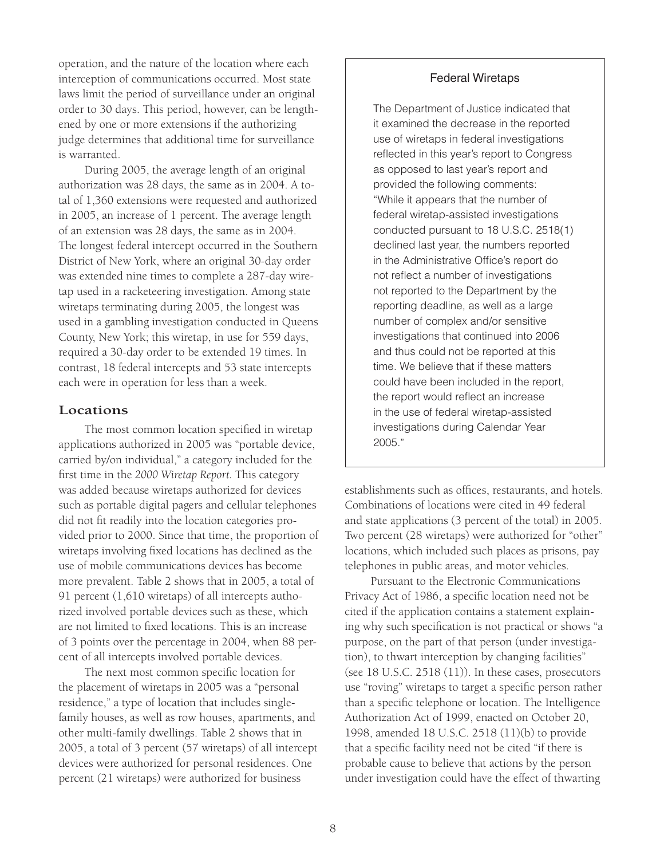operation, and the nature of the location where each interception of communications occurred. Most state laws limit the period of surveillance under an original order to 30 days. This period, however, can be lengthened by one or more extensions if the authorizing judge determines that additional time for surveillance is warranted.

During 2005, the average length of an original authorization was 28 days, the same as in 2004. A total of 1,360 extensions were requested and authorized in 2005, an increase of 1 percent. The average length of an extension was 28 days, the same as in 2004. The longest federal intercept occurred in the Southern District of New York, where an original 30-day order was extended nine times to complete a 287-day wiretap used in a racketeering investigation. Among state wiretaps terminating during 2005, the longest was used in a gambling investigation conducted in Queens County, New York; this wiretap, in use for 559 days, required a 30-day order to be extended 19 times. In contrast, 18 federal intercepts and 53 state intercepts each were in operation for less than a week.

#### **Locations**

The most common location specified in wiretap applications authorized in 2005 was "portable device, carried by/on individual," a category included for the first time in the *2000 Wiretap Report.* This category was added because wiretaps authorized for devices such as portable digital pagers and cellular telephones did not fit readily into the location categories provided prior to 2000. Since that time, the proportion of wiretaps involving fixed locations has declined as the use of mobile communications devices has become more prevalent. Table 2 shows that in 2005, a total of 91 percent (1,610 wiretaps) of all intercepts authorized involved portable devices such as these, which are not limited to fixed locations. This is an increase of 3 points over the percentage in 2004, when 88 percent of all intercepts involved portable devices.

The next most common specific location for the placement of wiretaps in 2005 was a "personal residence," a type of location that includes singlefamily houses, as well as row houses, apartments, and other multi-family dwellings. Table 2 shows that in 2005, a total of 3 percent (57 wiretaps) of all intercept devices were authorized for personal residences. One percent (21 wiretaps) were authorized for business

#### Federal Wiretaps

The Department of Justice indicated that it examined the decrease in the reported use of wiretaps in federal investigations reflected in this year's report to Congress as opposed to last year's report and provided the following comments: "While it appears that the number of federal wiretap-assisted investigations conducted pursuant to 18 U.S.C. 2518(1) declined last year, the numbers reported in the Administrative Office's report do not reflect a number of investigations not reported to the Department by the reporting deadline, as well as a large number of complex and/or sensitive investigations that continued into 2006 and thus could not be reported at this time. We believe that if these matters could have been included in the report, the report would reflect an increase in the use of federal wiretap-assisted investigations during Calendar Year 2005."

establishments such as offices, restaurants, and hotels. Combinations of locations were cited in 49 federal and state applications (3 percent of the total) in 2005. Two percent (28 wiretaps) were authorized for "other" locations, which included such places as prisons, pay telephones in public areas, and motor vehicles.

Pursuant to the Electronic Communications Privacy Act of 1986, a specific location need not be cited if the application contains a statement explaining why such specification is not practical or shows "a purpose, on the part of that person (under investigation), to thwart interception by changing facilities" (see 18 U.S.C. 2518 (11)). In these cases, prosecutors use "roving" wiretaps to target a specific person rather than a specific telephone or location. The Intelligence Authorization Act of 1999, enacted on October 20, 1998, amended 18 U.S.C. 2518 (11)(b) to provide that a specific facility need not be cited "if there is probable cause to believe that actions by the person under investigation could have the effect of thwarting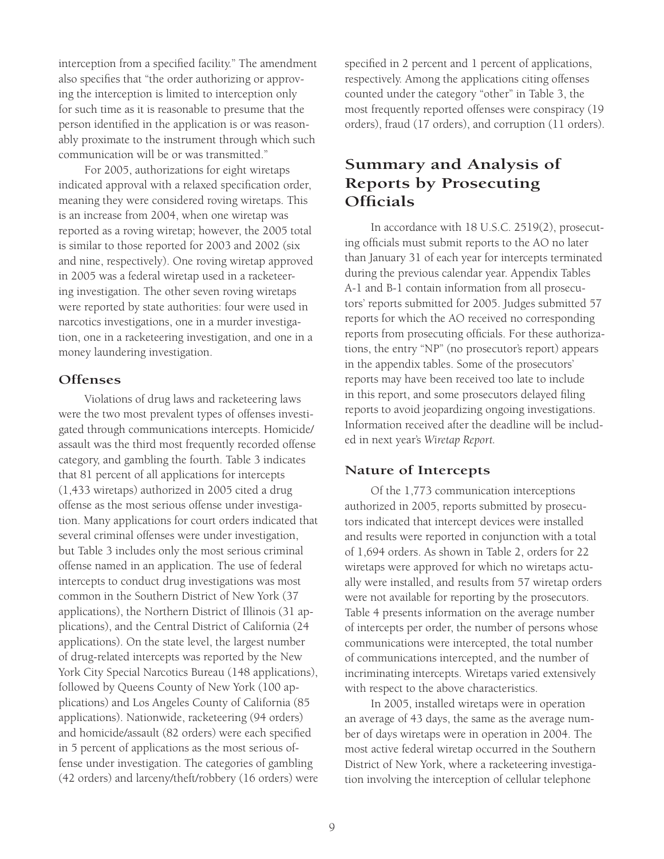interception from a specified facility." The amendment also specifies that "the order authorizing or approving the interception is limited to interception only for such time as it is reasonable to presume that the person identified in the application is or was reasonably proximate to the instrument through which such communication will be or was transmitted."

For 2005, authorizations for eight wiretaps indicated approval with a relaxed specification order, meaning they were considered roving wiretaps. This is an increase from 2004, when one wiretap was reported as a roving wiretap; however, the 2005 total is similar to those reported for 2003 and 2002 (six and nine, respectively). One roving wiretap approved in 2005 was a federal wiretap used in a racketeering investigation. The other seven roving wiretaps were reported by state authorities: four were used in narcotics investigations, one in a murder investigation, one in a racketeering investigation, and one in a money laundering investigation.

#### **Offenses**

Violations of drug laws and racketeering laws were the two most prevalent types of offenses investigated through communications intercepts. Homicide/ assault was the third most frequently recorded offense category, and gambling the fourth. Table 3 indicates that 81 percent of all applications for intercepts (1,433 wiretaps) authorized in 2005 cited a drug offense as the most serious offense under investigation. Many applications for court orders indicated that several criminal offenses were under investigation, but Table 3 includes only the most serious criminal offense named in an application. The use of federal intercepts to conduct drug investigations was most common in the Southern District of New York (37 applications), the Northern District of Illinois (31 applications), and the Central District of California (24 applications). On the state level, the largest number of drug-related intercepts was reported by the New York City Special Narcotics Bureau (148 applications), followed by Queens County of New York (100 applications) and Los Angeles County of California (85 applications). Nationwide, racketeering (94 orders) and homicide/assault (82 orders) were each specified in 5 percent of applications as the most serious offense under investigation. The categories of gambling (42 orders) and larceny/theft/robbery (16 orders) were specified in 2 percent and 1 percent of applications, respectively. Among the applications citing offenses counted under the category "other" in Table 3, the most frequently reported offenses were conspiracy (19 orders), fraud (17 orders), and corruption (11 orders).

## **Summary and Analysis of Reports by Prosecuting Officials**

In accordance with 18 U.S.C. 2519(2), prosecuting officials must submit reports to the AO no later than January 31 of each year for intercepts terminated during the previous calendar year. Appendix Tables A-1 and B-1 contain information from all prosecutors' reports submitted for 2005. Judges submitted 57 reports for which the AO received no corresponding reports from prosecuting officials. For these authorizations, the entry "NP" (no prosecutor's report) appears in the appendix tables. Some of the prosecutors' reports may have been received too late to include in this report, and some prosecutors delayed filing reports to avoid jeopardizing ongoing investigations. Information received after the deadline will be included in next year's *Wiretap Report.*

### **Nature of Intercepts**

Of the 1,773 communication interceptions authorized in 2005, reports submitted by prosecutors indicated that intercept devices were installed and results were reported in conjunction with a total of 1,694 orders. As shown in Table 2, orders for 22 wiretaps were approved for which no wiretaps actually were installed, and results from 57 wiretap orders were not available for reporting by the prosecutors. Table 4 presents information on the average number of intercepts per order, the number of persons whose communications were intercepted, the total number of communications intercepted, and the number of incriminating intercepts. Wiretaps varied extensively with respect to the above characteristics.

In 2005, installed wiretaps were in operation an average of 43 days, the same as the average number of days wiretaps were in operation in 2004. The most active federal wiretap occurred in the Southern District of New York, where a racketeering investigation involving the interception of cellular telephone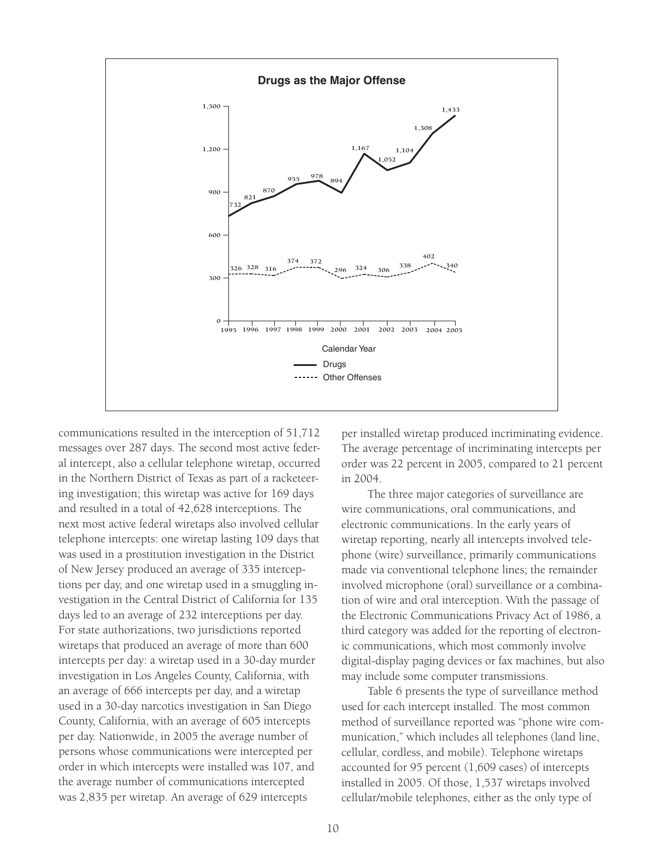

communications resulted in the interception of 51,712 messages over 287 days. The second most active federal intercept, also a cellular telephone wiretap, occurred in the Northern District of Texas as part of a racketeering investigation; this wiretap was active for 169 days and resulted in a total of 42,628 interceptions. The next most active federal wiretaps also involved cellular telephone intercepts: one wiretap lasting 109 days that was used in a prostitution investigation in the District of New Jersey produced an average of 335 interceptions per day, and one wiretap used in a smuggling investigation in the Central District of California for 135 days led to an average of 232 interceptions per day. For state authorizations, two jurisdictions reported wiretaps that produced an average of more than 600 intercepts per day: a wiretap used in a 30-day murder investigation in Los Angeles County, California, with an average of 666 intercepts per day, and a wiretap used in a 30-day narcotics investigation in San Diego County, California, with an average of 605 intercepts per day. Nationwide, in 2005 the average number of persons whose communications were intercepted per order in which intercepts were installed was 107, and the average number of communications intercepted was 2,835 per wiretap. An average of 629 intercepts

per installed wiretap produced incriminating evidence. The average percentage of incriminating intercepts per order was 22 percent in 2005, compared to 21 percent in 2004.

The three major categories of surveillance are wire communications, oral communications, and electronic communications. In the early years of wiretap reporting, nearly all intercepts involved telephone (wire) surveillance, primarily communications made via conventional telephone lines; the remainder involved microphone (oral) surveillance or a combination of wire and oral interception. With the passage of the Electronic Communications Privacy Act of 1986, a third category was added for the reporting of electronic communications, which most commonly involve digital-display paging devices or fax machines, but also may include some computer transmissions.

Table 6 presents the type of surveillance method used for each intercept installed. The most common method of surveillance reported was "phone wire communication," which includes all telephones (land line, cellular, cordless, and mobile). Telephone wiretaps accounted for 95 percent (1,609 cases) of intercepts installed in 2005. Of those, 1,537 wiretaps involved cellular/mobile telephones, either as the only type of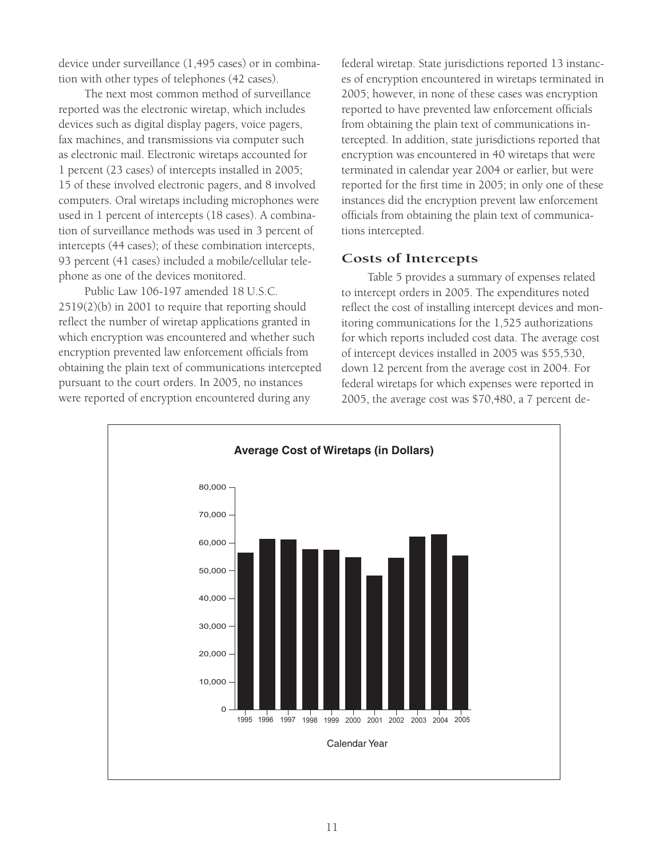device under surveillance (1,495 cases) or in combination with other types of telephones (42 cases).

The next most common method of surveillance reported was the electronic wiretap, which includes devices such as digital display pagers, voice pagers, fax machines, and transmissions via computer such as electronic mail. Electronic wiretaps accounted for 1 percent (23 cases) of intercepts installed in 2005; 15 of these involved electronic pagers, and 8 involved computers. Oral wiretaps including microphones were used in 1 percent of intercepts (18 cases). A combination of surveillance methods was used in 3 percent of intercepts (44 cases); of these combination intercepts, 93 percent (41 cases) included a mobile/cellular telephone as one of the devices monitored.

Public Law 106-197 amended 18 U.S.C. 2519(2)(b) in 2001 to require that reporting should reflect the number of wiretap applications granted in which encryption was encountered and whether such encryption prevented law enforcement officials from obtaining the plain text of communications intercepted pursuant to the court orders. In 2005, no instances were reported of encryption encountered during any

federal wiretap. State jurisdictions reported 13 instances of encryption encountered in wiretaps terminated in 2005; however, in none of these cases was encryption reported to have prevented law enforcement officials from obtaining the plain text of communications intercepted. In addition, state jurisdictions reported that encryption was encountered in 40 wiretaps that were terminated in calendar year 2004 or earlier, but were reported for the first time in 2005; in only one of these instances did the encryption prevent law enforcement officials from obtaining the plain text of communications intercepted.

### **Costs of Intercepts**

Table 5 provides a summary of expenses related to intercept orders in 2005. The expenditures noted reflect the cost of installing intercept devices and monitoring communications for the 1,525 authorizations for which reports included cost data. The average cost of intercept devices installed in 2005 was \$55,530, down 12 percent from the average cost in 2004. For federal wiretaps for which expenses were reported in 2005, the average cost was \$70,480, a 7 percent de-

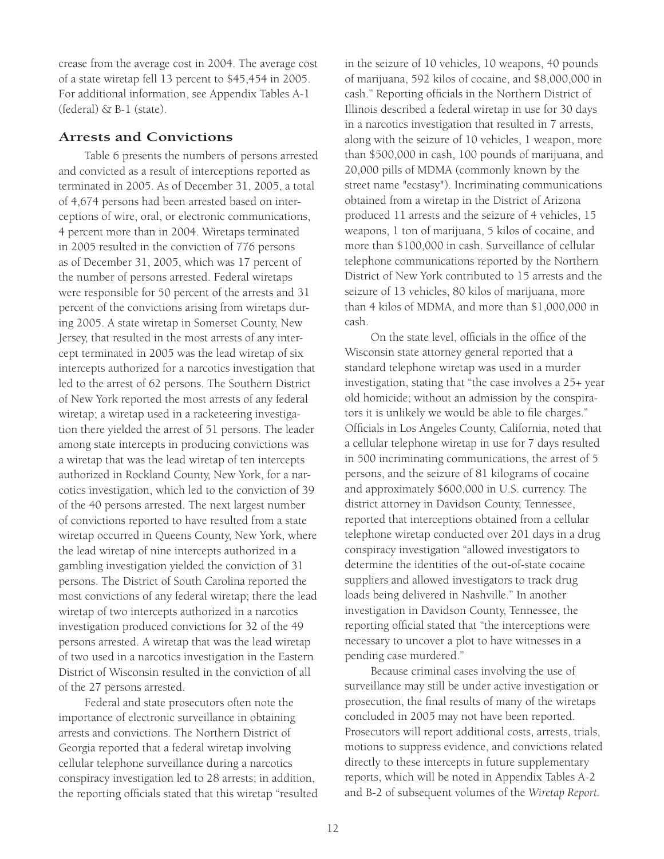crease from the average cost in 2004. The average cost of a state wiretap fell 13 percent to \$45,454 in 2005. For additional information, see Appendix Tables A-1 (federal) & B-1 (state).

### **Arrests and Convictions**

Table 6 presents the numbers of persons arrested and convicted as a result of interceptions reported as terminated in 2005. As of December 31, 2005, a total of 4,674 persons had been arrested based on interceptions of wire, oral, or electronic communications, 4 percent more than in 2004. Wiretaps terminated in 2005 resulted in the conviction of 776 persons as of December 31, 2005, which was 17 percent of the number of persons arrested. Federal wiretaps were responsible for 50 percent of the arrests and 31 percent of the convictions arising from wiretaps during 2005. A state wiretap in Somerset County, New Jersey, that resulted in the most arrests of any intercept terminated in 2005 was the lead wiretap of six intercepts authorized for a narcotics investigation that led to the arrest of 62 persons. The Southern District of New York reported the most arrests of any federal wiretap; a wiretap used in a racketeering investigation there yielded the arrest of 51 persons. The leader among state intercepts in producing convictions was a wiretap that was the lead wiretap of ten intercepts authorized in Rockland County, New York, for a narcotics investigation, which led to the conviction of 39 of the 40 persons arrested. The next largest number of convictions reported to have resulted from a state wiretap occurred in Queens County, New York, where the lead wiretap of nine intercepts authorized in a gambling investigation yielded the conviction of 31 persons. The District of South Carolina reported the most convictions of any federal wiretap; there the lead wiretap of two intercepts authorized in a narcotics investigation produced convictions for 32 of the 49 persons arrested. A wiretap that was the lead wiretap of two used in a narcotics investigation in the Eastern District of Wisconsin resulted in the conviction of all of the 27 persons arrested.

Federal and state prosecutors often note the importance of electronic surveillance in obtaining arrests and convictions. The Northern District of Georgia reported that a federal wiretap involving cellular telephone surveillance during a narcotics conspiracy investigation led to 28 arrests; in addition, the reporting officials stated that this wiretap "resulted in the seizure of 10 vehicles, 10 weapons, 40 pounds of marijuana, 592 kilos of cocaine, and \$8,000,000 in cash." Reporting officials in the Northern District of Illinois described a federal wiretap in use for 30 days in a narcotics investigation that resulted in 7 arrests, along with the seizure of 10 vehicles, 1 weapon, more than \$500,000 in cash, 100 pounds of marijuana, and 20,000 pills of MDMA (commonly known by the street name "ecstasy"). Incriminating communications obtained from a wiretap in the District of Arizona produced 11 arrests and the seizure of 4 vehicles, 15 weapons, 1 ton of marijuana, 5 kilos of cocaine, and more than \$100,000 in cash. Surveillance of cellular telephone communications reported by the Northern District of New York contributed to 15 arrests and the seizure of 13 vehicles, 80 kilos of marijuana, more than 4 kilos of MDMA, and more than \$1,000,000 in cash.

On the state level, officials in the office of the Wisconsin state attorney general reported that a standard telephone wiretap was used in a murder investigation, stating that "the case involves a 25+ year old homicide; without an admission by the conspirators it is unlikely we would be able to file charges." Officials in Los Angeles County, California, noted that a cellular telephone wiretap in use for 7 days resulted in 500 incriminating communications, the arrest of 5 persons, and the seizure of 81 kilograms of cocaine and approximately \$600,000 in U.S. currency. The district attorney in Davidson County, Tennessee, reported that interceptions obtained from a cellular telephone wiretap conducted over 201 days in a drug conspiracy investigation "allowed investigators to determine the identities of the out-of-state cocaine suppliers and allowed investigators to track drug loads being delivered in Nashville." In another investigation in Davidson County, Tennessee, the reporting official stated that "the interceptions were necessary to uncover a plot to have witnesses in a pending case murdered."

Because criminal cases involving the use of surveillance may still be under active investigation or prosecution, the final results of many of the wiretaps concluded in 2005 may not have been reported. Prosecutors will report additional costs, arrests, trials, motions to suppress evidence, and convictions related directly to these intercepts in future supplementary reports, which will be noted in Appendix Tables A-2 and B-2 of subsequent volumes of the *Wiretap Report.*